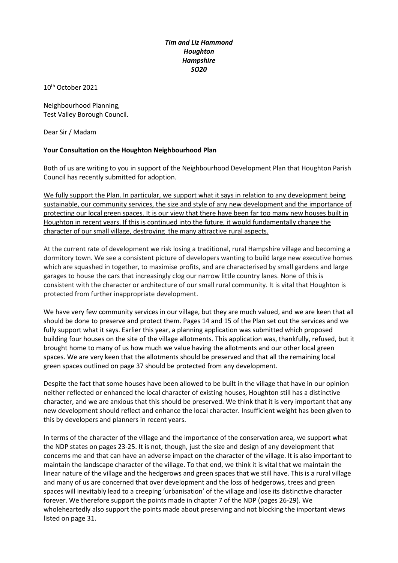## *Tim and Liz Hammond Houghton Hampshire SO20*

10th October 2021

Neighbourhood Planning, Test Valley Borough Council.

Dear Sir / Madam

## **Your Consultation on the Houghton Neighbourhood Plan**

Both of us are writing to you in support of the Neighbourhood Development Plan that Houghton Parish Council has recently submitted for adoption.

We fully support the Plan. In particular, we support what it says in relation to any development being sustainable, our community services, the size and style of any new development and the importance of protecting our local green spaces. It is our view that there have been far too many new houses built in Houghton in recent years. If this is continued into the future, it would fundamentally change the character of our small village, destroying the many attractive rural aspects.

At the current rate of development we risk losing a traditional, rural Hampshire village and becoming a dormitory town. We see a consistent picture of developers wanting to build large new executive homes which are squashed in together, to maximise profits, and are characterised by small gardens and large garages to house the cars that increasingly clog our narrow little country lanes. None of this is consistent with the character or architecture of our small rural community. It is vital that Houghton is protected from further inappropriate development.

We have very few community services in our village, but they are much valued, and we are keen that all should be done to preserve and protect them. Pages 14 and 15 of the Plan set out the services and we fully support what it says. Earlier this year, a planning application was submitted which proposed building four houses on the site of the village allotments. This application was, thankfully, refused, but it brought home to many of us how much we value having the allotments and our other local green spaces. We are very keen that the allotments should be preserved and that all the remaining local green spaces outlined on page 37 should be protected from any development.

Despite the fact that some houses have been allowed to be built in the village that have in our opinion neither reflected or enhanced the local character of existing houses, Houghton still has a distinctive character, and we are anxious that this should be preserved. We think that it is very important that any new development should reflect and enhance the local character. Insufficient weight has been given to this by developers and planners in recent years.

In terms of the character of the village and the importance of the conservation area, we support what the NDP states on pages 23-25. It is not, though, just the size and design of any development that concerns me and that can have an adverse impact on the character of the village. It is also important to maintain the landscape character of the village. To that end, we think it is vital that we maintain the linear nature of the village and the hedgerows and green spaces that we still have. This is a rural village and many of us are concerned that over development and the loss of hedgerows, trees and green spaces will inevitably lead to a creeping 'urbanisation' of the village and lose its distinctive character forever. We therefore support the points made in chapter 7 of the NDP (pages 26-29). We wholeheartedly also support the points made about preserving and not blocking the important views listed on page 31.